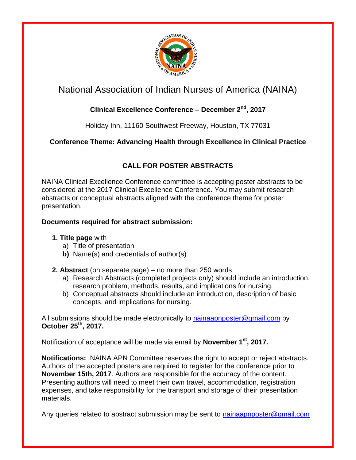

# National Association of Indian Nurses of America (NAINA)

### **Clinical Excellence Conference – December 2nd, 2017**

Holiday Inn, 11160 Southwest Freeway, Houston, TX 77031

**Conference Theme: Advancing Health through Excellence in Clinical Practice**

## **CALL FOR POSTER ABSTRACTS**

NAINA Clinical Excellence Conference committee is accepting poster abstracts to be considered at the 2017 Clinical Excellence Conference. You may submit research abstracts or conceptual abstracts aligned with the conference theme for poster presentation.

### **Documents required for abstract submission:**

### **1. Title page** with

- a) Title of presentation
- **b)** Name(s) and credentials of author(s)
- **2. Abstract** (on separate page) no more than 250 words
	- a) Research Abstracts (completed projects only) should include an introduction, research problem, methods, results, and implications for nursing.
	- b) Conceptual abstracts should include an introduction, description of basic concepts, and implications for nursing.

All submissions should be made electronically to [nainaapnposter@gmail.com](mailto:nainaapnposter@gmail.com) by **October 25 th, 2017.**

Notification of acceptance will be made via email by **November 1st, 2017.**

**Notifications:** NAINA APN Committee reserves the right to accept or reject abstracts. Authors of the accepted posters are required to register for the conference prior to **November 15th, 2017**. Authors are responsible for the accuracy of the content. Presenting authors will need to meet their own travel, accommodation, registration expenses, and take responsibility for the transport and storage of their presentation materials.

Any queries related to abstract submission may be sent to [nainaapnposter@gmail.com](mailto:nainaapnposter@gmail.com)